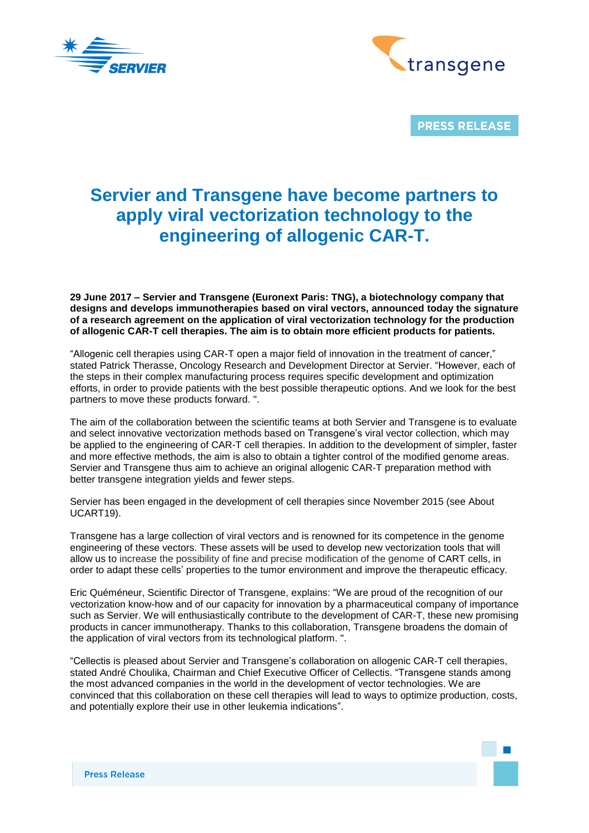



**PRESS RELEASE** 

## **Servier and Transgene have become partners to apply viral vectorization technology to the engineering of allogenic CAR-T.**

**29 June 2017 – Servier and Transgene (Euronext Paris: TNG), a biotechnology company that designs and develops immunotherapies based on viral vectors, announced today the signature of a research agreement on the application of viral vectorization technology for the production of allogenic CAR-T cell therapies. The aim is to obtain more efficient products for patients.**

"Allogenic cell therapies using CAR-T open a major field of innovation in the treatment of cancer," stated Patrick Therasse, Oncology Research and Development Director at Servier. "However, each of the steps in their complex manufacturing process requires specific development and optimization efforts, in order to provide patients with the best possible therapeutic options. And we look for the best partners to move these products forward. ".

The aim of the collaboration between the scientific teams at both Servier and Transgene is to evaluate and select innovative vectorization methods based on Transgene's viral vector collection, which may be applied to the engineering of CAR-T cell therapies. In addition to the development of simpler, faster and more effective methods, the aim is also to obtain a tighter control of the modified genome areas. Servier and Transgene thus aim to achieve an original allogenic CAR-T preparation method with better transgene integration yields and fewer steps.

Servier has been engaged in the development of cell therapies since November 2015 (see About UCART19).

Transgene has a large collection of viral vectors and is renowned for its competence in the genome engineering of these vectors. These assets will be used to develop new vectorization tools that will allow us to increase the possibility of fine and precise modification of the genome of CART cells, in order to adapt these cells' properties to the tumor environment and improve the therapeutic efficacy.

Eric Quéméneur, Scientific Director of Transgene, explains: "We are proud of the recognition of our vectorization know-how and of our capacity for innovation by a pharmaceutical company of importance such as Servier. We will enthusiastically contribute to the development of CAR-T, these new promising products in cancer immunotherapy. Thanks to this collaboration, Transgene broadens the domain of the application of viral vectors from its technological platform. ".

"Cellectis is pleased about Servier and Transgene's collaboration on allogenic CAR-T cell therapies, stated André Choulika, Chairman and Chief Executive Officer of Cellectis. "Transgene stands among the most advanced companies in the world in the development of vector technologies. We are convinced that this collaboration on these cell therapies will lead to ways to optimize production, costs, and potentially explore their use in other leukemia indications".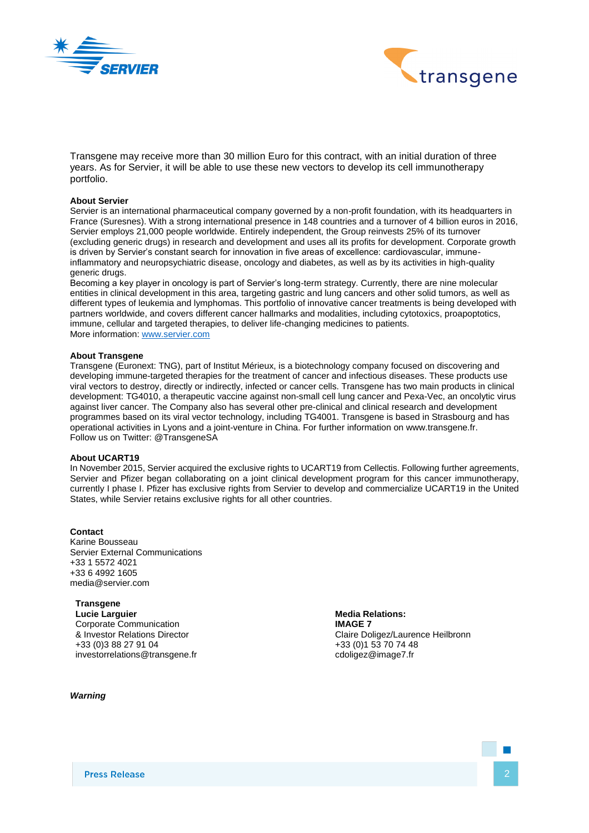



Transgene may receive more than 30 million Euro for this contract, with an initial duration of three years. As for Servier, it will be able to use these new vectors to develop its cell immunotherapy portfolio.

## **About Servier**

Servier is an international pharmaceutical company governed by a non-profit foundation, with its headquarters in France (Suresnes). With a strong international presence in 148 countries and a turnover of 4 billion euros in 2016, Servier employs 21,000 people worldwide. Entirely independent, the Group reinvests 25% of its turnover (excluding generic drugs) in research and development and uses all its profits for development. Corporate growth is driven by Servier's constant search for innovation in five areas of excellence: cardiovascular, immuneinflammatory and neuropsychiatric disease, oncology and diabetes, as well as by its activities in high-quality generic drugs.

Becoming a key player in oncology is part of Servier's long-term strategy. Currently, there are nine molecular entities in clinical development in this area, targeting gastric and lung cancers and other solid tumors, as well as different types of leukemia and lymphomas. This portfolio of innovative cancer treatments is being developed with partners worldwide, and covers different cancer hallmarks and modalities, including cytotoxics, proapoptotics, immune, cellular and targeted therapies, to deliver life-changing medicines to patients. More information: [www.servier.com](http://www.servier.com/)

## **About Transgene**

Transgene (Euronext: TNG), part of Institut Mérieux, is a biotechnology company focused on discovering and developing immune-targeted therapies for the treatment of cancer and infectious diseases. These products use viral vectors to destroy, directly or indirectly, infected or cancer cells. Transgene has two main products in clinical development: TG4010, a therapeutic vaccine against non-small cell lung cancer and Pexa-Vec, an oncolytic virus against liver cancer. The Company also has several other pre-clinical and clinical research and development programmes based on its viral vector technology, including TG4001. Transgene is based in Strasbourg and has operational activities in Lyons and a joint-venture in China. For further information on www.transgene.fr. Follow us on Twitter: @TransgeneSA

## **About UCART19**

In November 2015, Servier acquired the exclusive rights to UCART19 from Cellectis. Following further agreements, Servier and Pfizer began collaborating on a joint clinical development program for this cancer immunotherapy, currently I phase I. Pfizer has exclusive rights from Servier to develop and commercialize UCART19 in the United States, while Servier retains exclusive rights for all other countries.

**Contact** Karine Bousseau Servier External Communications +33 1 5572 4021 +33 6 4992 1605 media@servier.com

**Transgene Lucie Larguier** Corporate Communication & Investor Relations Director +33 (0)3 88 27 91 04 investorrelations@transgene.fr

*Warning* 

**Media Relations: IMAGE 7**  Claire Doligez/Laurence Heilbronn +33 (0)1 53 70 74 48 cdoligez@image7.fr